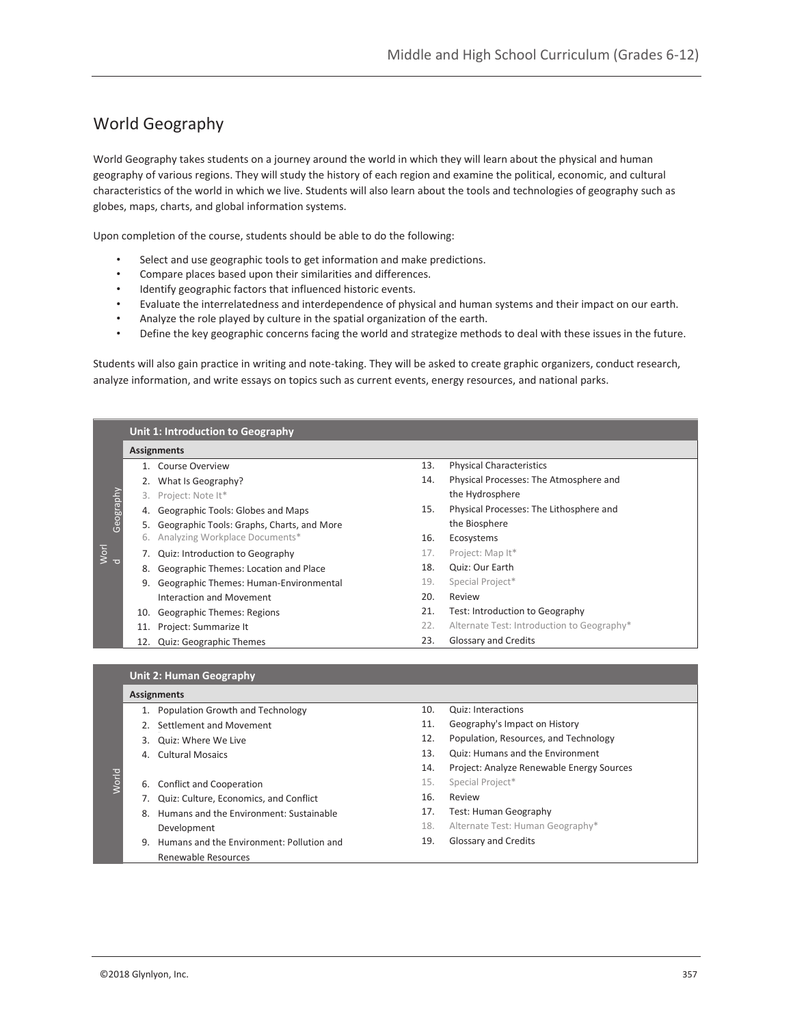# World Geography

World Geography takes students on a journey around the world in which they will learn about the physical and human geography of various regions. They will study the history of each region and examine the political, economic, and cultural characteristics of the world in which we live. Students will also learn about the tools and technologies of geography such as globes, maps, charts, and global information systems.

Upon completion of the course, students should be able to do the following:

- Select and use geographic tools to get information and make predictions.
- Compare places based upon their similarities and differences.
- Identify geographic factors that influenced historic events.
- Evaluate the interrelatedness and interdependence of physical and human systems and their impact on our earth.
- Analyze the role played by culture in the spatial organization of the earth.
- Define the key geographic concerns facing the world and strategize methods to deal with these issues in the future.

Students will also gain practice in writing and note-taking. They will be asked to create graphic organizers, conduct research, analyze information, and write essays on topics such as current events, energy resources, and national parks.

|                                               | Unit 1: Introduction to Geography |                                            |     |                                            |  |  |  |  |
|-----------------------------------------------|-----------------------------------|--------------------------------------------|-----|--------------------------------------------|--|--|--|--|
| Geography<br>Worl<br>$\overline{\phantom{a}}$ | <b>Assignments</b>                |                                            |     |                                            |  |  |  |  |
|                                               |                                   | 1. Course Overview                         | 13. | <b>Physical Characteristics</b>            |  |  |  |  |
|                                               |                                   | What Is Geography?                         | 14. | Physical Processes: The Atmosphere and     |  |  |  |  |
|                                               | 3.                                | Project: Note It*                          |     | the Hydrosphere                            |  |  |  |  |
|                                               | 4.                                | Geographic Tools: Globes and Maps          | 15. | Physical Processes: The Lithosphere and    |  |  |  |  |
|                                               | 5.                                | Geographic Tools: Graphs, Charts, and More |     | the Biosphere                              |  |  |  |  |
|                                               | 6.                                | Analyzing Workplace Documents*             | 16. | Ecosystems                                 |  |  |  |  |
|                                               |                                   | Quiz: Introduction to Geography            | 17. | Project: Map It*                           |  |  |  |  |
|                                               | 8.                                | Geographic Themes: Location and Place      | 18. | Quiz: Our Earth                            |  |  |  |  |
|                                               | 9.                                | Geographic Themes: Human-Environmental     | 19. | Special Project*                           |  |  |  |  |
|                                               |                                   | Interaction and Movement                   | 20. | Review                                     |  |  |  |  |
|                                               | 10.                               | Geographic Themes: Regions                 | 21. | Test: Introduction to Geography            |  |  |  |  |
|                                               | 11.                               | Project: Summarize It                      | 22. | Alternate Test: Introduction to Geography* |  |  |  |  |
|                                               | 12.                               | <b>Quiz: Geographic Themes</b>             | 23. | Glossary and Credits                       |  |  |  |  |
|                                               |                                   |                                            |     |                                            |  |  |  |  |
|                                               |                                   | <b>Unit 2: Human Geography</b>             |     |                                            |  |  |  |  |
|                                               |                                   |                                            |     |                                            |  |  |  |  |

## **Assignments**

g

|      | ASSIgnments |                                           |     |                                           |  |  |  |  |
|------|-------------|-------------------------------------------|-----|-------------------------------------------|--|--|--|--|
|      |             | Population Growth and Technology          | 10. | <b>Quiz: Interactions</b>                 |  |  |  |  |
|      |             | Settlement and Movement                   | 11. | Geography's Impact on History             |  |  |  |  |
|      | 3.          | Quiz: Where We Live                       | 12. | Population, Resources, and Technology     |  |  |  |  |
|      | 4.          | <b>Cultural Mosaics</b>                   | 13. | Quiz: Humans and the Environment          |  |  |  |  |
|      |             |                                           | 14. | Project: Analyze Renewable Energy Sources |  |  |  |  |
| Worl |             | 6. Conflict and Cooperation               | 15. | Special Project*                          |  |  |  |  |
|      |             | Quiz: Culture, Economics, and Conflict    | 16. | Review                                    |  |  |  |  |
|      | 8.          | Humans and the Environment: Sustainable   | 17. | <b>Test: Human Geography</b>              |  |  |  |  |
|      |             | Development                               | 18. | Alternate Test: Human Geography*          |  |  |  |  |
|      | 9.          | Humans and the Environment: Pollution and | 19. | Glossary and Credits                      |  |  |  |  |
|      |             | Renewable Resources                       |     |                                           |  |  |  |  |
|      |             |                                           |     |                                           |  |  |  |  |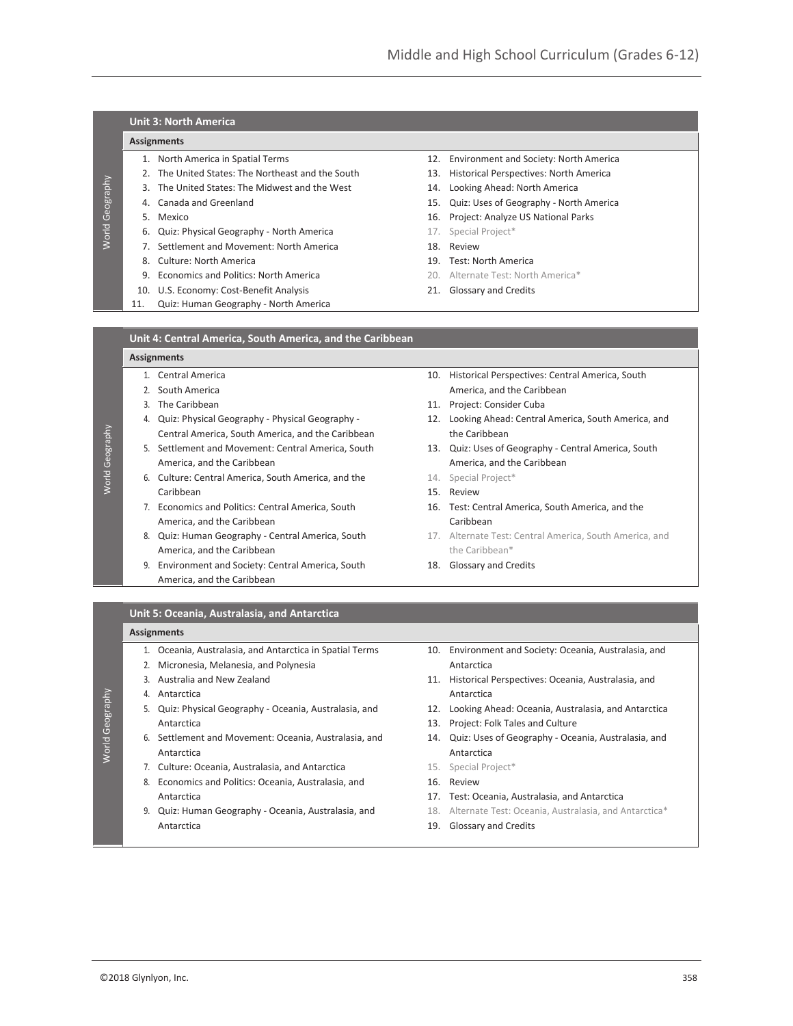## **Unit 3: North America**

### **Assignments**

- 
- 2. The United States: The Northeast and the South 13. Historical Perspectives: North America
- 3. The United States: The Midwest and the West 14. Looking Ahead: North America
- 
- 

World Geography

**Norld Geography** 

World Geography

World Geography

World Geography

World Geography

- 6. Quiz: Physical Geography North America 17. Special Project\*
- 7. Settlement and Movement: North America 18. Review
	-
- 9. **Economics and Politics: North America** 20. Alternate Test: North America<sup>\*</sup>
- 10. U.S. Economy: Cost-Benefit Analysis 21. Glossary and Credits
- 11. Quiz: Human Geography North America
- 1. North America in Spatial Terms 12. Environment and Society: North America
	-
	-
- 4. Canada and Greenland 15. Quiz: Uses of Geography North America
- 5. Mexico 16. Project: Analyze US National Parks
	-
	-
- 8. Culture: North America 19. Test: North America
	-
	-

#### **Unit 4: Central America, South America, and the Caribbean**

#### **Assignments**

- 
- 
- 
- Central America, South America, and the Caribbean the Caribbean
- America, and the Caribbean and the Caribbean America, and the Caribbean
- 6. Culture: Central America, South America, and the 14. Special Project\* Caribbean 15. Review
- 7. Economics and Politics: Central America, South 16. Test: Central America, South America, and the America, and the Caribbean Caribbean Caribbean
- America, and the Caribbean the Caribbean the Caribbean\*
- 9. Environment and Society: Central America, South 18. Glossary and Credits America, and the Caribbean
- 1. Central America 10. Historical Perspectives: Central America, South 2. South America **America** America, and the Caribbean
- 3. The Caribbean 11. Project: Consider Cuba
- 4. Quiz: Physical Geography Physical Geography 12. Looking Ahead: Central America, South America, and
- 5. Settlement and Movement: Central America, South 13. Quiz: Uses of Geography Central America, South
	-
	-
	-
- 8. Quiz: Human Geography Central America, South 17. Alternate Test: Central America, South America, and
	-

### **Unit 5: Oceania, Australasia, and Antarctica**

#### **Assignments**

- 1. Oceania, Australasia, and Antarctica in Spatial Terms 10. Environment and Society: Oceania, Australasia, and
- 2. Micronesia, Melanesia, and Polynesia Antarctica
- 
- 
- Antarctica 13. Project: Folk Tales and Culture
- 6. Settlement and Movement: Oceania, Australasia, and 14. Quiz: Uses of Geography Oceania, Australasia, and Antarctica Antarctica
- 7. Culture: Oceania, Australasia, and Antarctica 15. Special Project\*
- 8. Economics and Politics: Oceania, Australasia, and 16. Review Antarctica 17. Test: Oceania, Australasia, and Antarctica
- 9. Quiz: Human Geography Oceania, Australasia, and 18. Alternate Test: Oceania, Australasia, and Antarctica\* Antarctica 2002 19. Glossary and Credits
- 
- 3. Australia and New Zealand 11. Historical Perspectives: Oceania, Australasia, and 4. Antarctica and a series are a series and a series and a series and a series and a series and a series and a
- 5. Quiz: Physical Geography Oceania, Australasia, and 12. Looking Ahead: Oceania, Australasia, and Antarctica
	-
	-
	-
	-
	-
	-
	-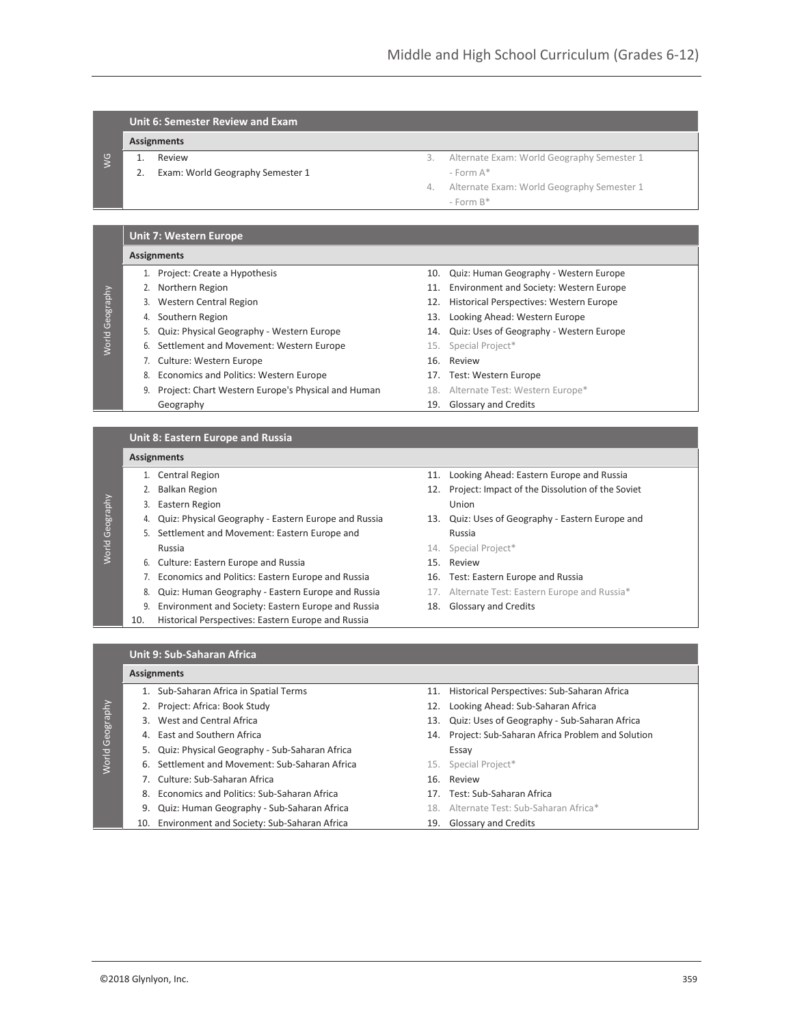## **Unit 6: Semester Review and Exam**

## **Assignments**

#### 1. Review

WG

World Geography

**World Geography** 

World Geography

**Norld Geography** 

World Geography

World Geography

2. Exam: World Geography Semester 1

- 3. Alternate Exam: World Geography Semester 1  $-$  Form  $A^*$
- 4. Alternate Exam: World Geography Semester 1 - Form B\*

### **Unit 7: Western Europe**

#### **Assignments**

- 
- 
- 
- 
- 5. Quiz: Physical Geography Western Europe 14. Quiz: Uses of Geography Western Europe
- 6. Settlement and Movement: Western Europe 15. Special Project\*
- 7. Culture: Western Europe 16. Review
- 8. Economics and Politics: Western Europe 17. Test: Western Europe
- 9. Project: Chart Western Europe's Physical and Human 18. Alternate Test: Western Europe\* Geography **19.** Glossary and Credits

#### **Unit 8: Eastern Europe and Russia**

#### **Assignments**

- 
- 
- 3. Eastern Region Union
- 4. Quiz: Physical Geography Eastern Europe and Russia 13. Quiz: Uses of Geography Eastern Europe and
- 5. Settlement and Movement: Eastern Europe and Mussia Russia **14.** Special Project<sup>\*</sup>
- 6. Culture: Eastern Europe and Russia 15. Review
- 7. Economics and Politics: Eastern Europe and Russia 16. Test: Eastern Europe and Russia
- 8. Quiz: Human Geography Eastern Europe and Russia 17. Alternate Test: Eastern Europe and Russia\*
- 9. Environment and Society: Eastern Europe and Russia 18. Glossary and Credits
- 10. Historical Perspectives: Eastern Europe and Russia
- 1. Project: Create a Hypothesis 10. Quiz: Human Geography Western Europe
- 2. Northern Region 11. Environment and Society: Western Europe
- 3. Western Central Region 12. Historical Perspectives: Western Europe
- 4. Southern Region 13. Looking Ahead: Western Europe
	-
	-
	-
	-
	-
	-
- 1. Central Region 11. Looking Ahead: Eastern Europe and Russia
- 2. Balkan Region 2. Project: Impact of the Dissolution of the Soviet
	-
	-
	-
	-
	-
	-

### **Unit 9: Sub-Saharan Africa**

#### **Assignments**

- 1. Sub-Saharan Africa in Spatial Terms 11. Historical Perspectives: Sub-Saharan Africa 2. Project: Africa: Book Study 12. Looking Ahead: Sub-Saharan Africa 3. West and Central Africa 13. Quiz: Uses of Geography - Sub-Saharan Africa 4. East and Southern Africa 14. Project: Sub-Saharan Africa Problem and Solution 5. Quiz: Physical Geography - Sub-Saharan Africa 6. Settlement and Movement: Sub-Saharan Africa 15. Special Project\* 7. Culture: Sub-Saharan Africa 16. Review 8. Economics and Politics: Sub-Saharan Africa 17. Test: Sub-Saharan Africa 9. Quiz: Human Geography - Sub-Saharan Africa 18. Alternate Test: Sub-Saharan Africa\*
	- 10. Environment and Society: Sub-Saharan Africa 19. Glossary and Credits
-